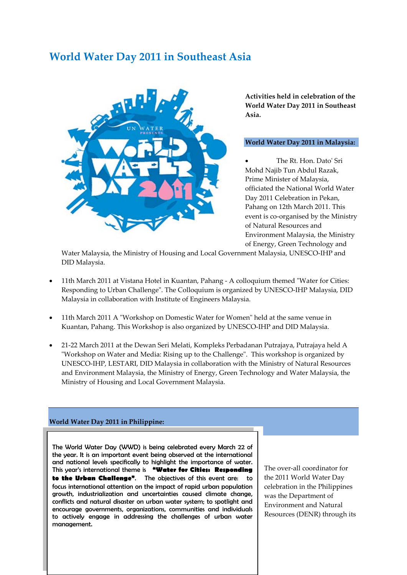## **World Water Day 2011 in Southeast Asia**



**Activities held in celebration of the World Water Day 2011 in Southeast Asia.**

## **World Water Day 2011 in Malaysia:**

• The Rt. Hon. Dato' Sri Mohd Najib Tun Abdul Razak, Prime Minister of Malaysia, officiated the National World Water Day 2011 Celebration in Pekan, Pahang on 12th March 2011. This event is co-organised by the Ministry of Natural Resources and Environment Malaysia, the Ministry of Energy, Green Technology and

Water Malaysia, the Ministry of Housing and Local Government Malaysia, UNESCO-IHP and DID Malaysia.

- 11th March 2011 at Vistana Hotel in Kuantan, Pahang A colloquium themed "Water for Cities: Responding to Urban Challenge". The Colloquium is organized by UNESCO-IHP Malaysia, DID Malaysia in collaboration with Institute of Engineers Malaysia.
- 11th March 2011 A "Workshop on Domestic Water for Women" held at the same venue in Kuantan, Pahang. This Workshop is also organized by UNESCO-IHP and DID Malaysia.
- 21-22 March 2011 at the Dewan Seri Melati, Kompleks Perbadanan Putrajaya, Putrajaya held A "Workshop on Water and Media: Rising up to the Challenge". This workshop is organized by UNESCO-IHP, LESTARI, DID Malaysia in collaboration with the Ministry of Natural Resources and Environment Malaysia, the Ministry of Energy, Green Technology and Water Malaysia, the Ministry of Housing and Local Government Malaysia.

## **World Water Day 2011 in Philippine:**

The World Water Day (WWD) is being celebrated every March 22 of the year. It is an important event being observed at the international and national levels specifically to highlight the importance of water. This year's international theme is **"Water for Cities: Responding to the Urban Challenge"**. The objectives of this event are: to focus international attention on the impact of rapid urban population growth, industrialization and uncertainties caused climate change, conflicts and natural disaster on urban water system; to spotlight and encourage governments, organizations, communities and individuals to actively engage in addressing the challenges of urban water management.

The over-all coordinator for the 2011 World Water Day celebration in the Philippines was the Department of Environment and Natural Resources (DENR) through its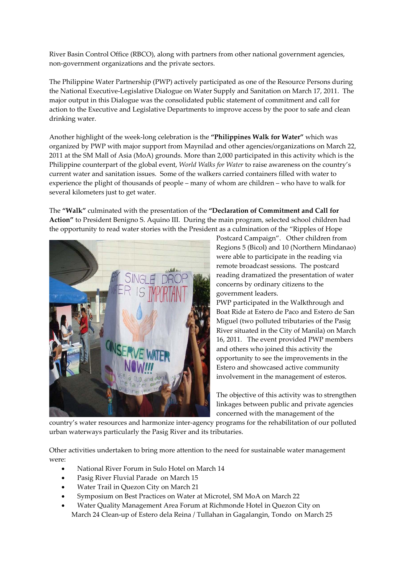River Basin Control Office (RBCO), along with partners from other national government agencies, non-government organizations and the private sectors.

The Philippine Water Partnership (PWP) actively participated as one of the Resource Persons during the National Executive-Legislative Dialogue on Water Supply and Sanitation on March 17, 2011. The major output in this Dialogue was the consolidated public statement of commitment and call for action to the Executive and Legislative Departments to improve access by the poor to safe and clean drinking water.

Another highlight of the week-long celebration is the **"Philippines Walk for Water"** which was organized by PWP with major support from Maynilad and other agencies/organizations on March 22, 2011 at the SM Mall of Asia (MoA) grounds. More than 2,000 participated in this activity which is the Philippine counterpart of the global event, *World Walks for Water* to raise awareness on the country's current water and sanitation issues. Some of the walkers carried containers filled with water to experience the plight of thousands of people – many of whom are children – who have to walk for several kilometers just to get water.

The **"Walk"** culminated with the presentation of the **"Declaration of Commitment and Call for Action"** to President Benigno S. Aquino III. During the main program, selected school children had the opportunity to read water stories with the President as a culmination of the "Ripples of Hope



Postcard Campaign". Other children from Regions 5 (Bicol) and 10 (Northern Mindanao) were able to participate in the reading via remote broadcast sessions. The postcard reading dramatized the presentation of water concerns by ordinary citizens to the government leaders.

PWP participated in the Walkthrough and Boat Ride at Estero de Paco and Estero de San Miguel (two polluted tributaries of the Pasig River situated in the City of Manila) on March 16, 2011. The event provided PWP members and others who joined this activity the opportunity to see the improvements in the Estero and showcased active community involvement in the management of esteros.

The objective of this activity was to strengthen linkages between public and private agencies concerned with the management of the

country's water resources and harmonize inter-agency programs for the rehabilitation of our polluted urban waterways particularly the Pasig River and its tributaries.

Other activities undertaken to bring more attention to the need for sustainable water management were:

- National River Forum in Sulo Hotel on March 14
- Pasig River Fluvial Parade on March 15
- Water Trail in Quezon City on March 21
- Symposium on Best Practices on Water at Microtel, SM MoA on March 22
- Water Quality Management Area Forum at Richmonde Hotel in Quezon City on March 24 Clean-up of Estero dela Reina / Tullahan in Gagalangin, Tondo on March 25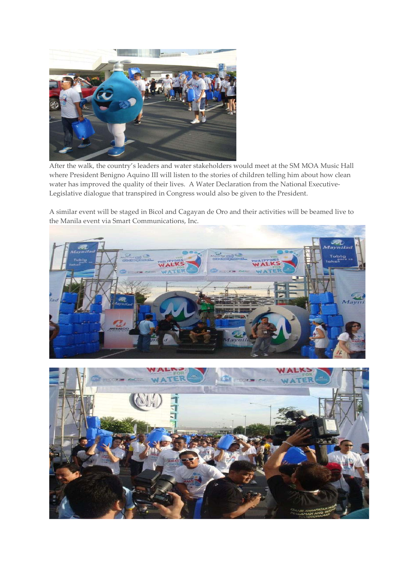

After the walk, the country's leaders and water stakeholders would meet at the SM MOA Music Hall where President Benigno Aquino III will listen to the stories of children telling him about how clean water has improved the quality of their lives. A Water Declaration from the National Executive-Legislative dialogue that transpired in Congress would also be given to the President.

A similar event will be staged in Bicol and Cagayan de Oro and their activities will be beamed live to the Manila event via Smart Communications, Inc.